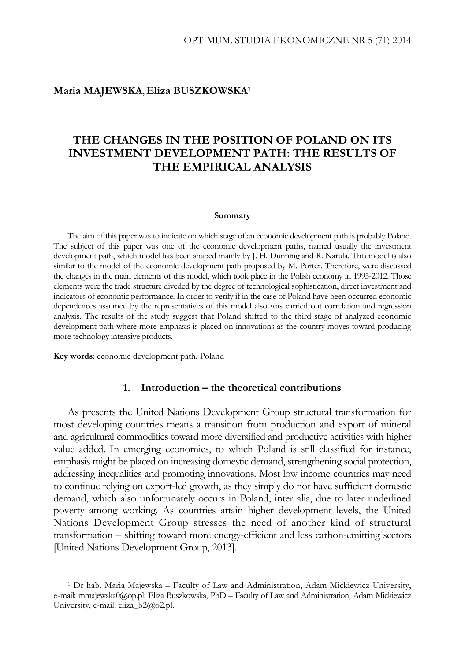#### **Maria MAJEWSKA**, **Eliza BUSZKOWSKA1**

# **THE CHANGES IN THE POSITION OF POLAND ON ITS INVESTMENT DEVELOPMENT PATH: THE RESULTS OF THE EMPIRICAL ANALYSIS**

#### **Summary**

The aim of this paper was to indicate on which stage of an economic development path is probably Poland. The subject of this paper was one of the economic development paths, named usually the investment development path, which model has been shaped mainly by J. H. Dunning and R. Narula. This model is also similar to the model of the economic development path proposed by M. Porter. Therefore, were discussed the changes in the main elements of this model, which took place in the Polish economy in 1995-2012. Those elements were the trade structure diveded by the degree of technological sophistication, direct investment and indicators of economic performance. In order to verify if in the case of Poland have been occurred economic dependences assumed by the representatives of this model also was carried out correlation and regression analysis. The results of the study suggest that Poland shifted to the third stage of analyzed economic development path where more emphasis is placed on innovations as the country moves toward producing more technology intensive products.

**Key words**: economic development path, Poland

 $\overline{a}$ 

#### **1. Introduction – the theoretical contributions**

As presents the United Nations Development Group structural transformation for most developing countries means a transition from production and export of mineral and agricultural commodities toward more diversified and productive activities with higher value added. In emerging economies, to which Poland is still classified for instance, emphasis might be placed on increasing domestic demand, strengthening social protection, addressing inequalities and promoting innovations. Most low income countries may need to continue relying on export-led growth, as they simply do not have sufficient domestic demand, which also unfortunately occurs in Poland, inter alia, due to later underlined poverty among working. As countries attain higher development levels, the United Nations Development Group stresses the need of another kind of structural transformation – shifting toward more energy-efficient and less carbon-emitting sectors [United Nations Development Group, 2013].

<sup>1</sup> Dr hab. Maria Majewska – Faculty of Law and Administration, Adam Mickiewicz University, e-mail: mmajewska0@op.pl; Eliza Buszkowska, PhD – Faculty of Law and Administration, Adam Mickiewicz University, e-mail: eliza\_b2@o2.pl.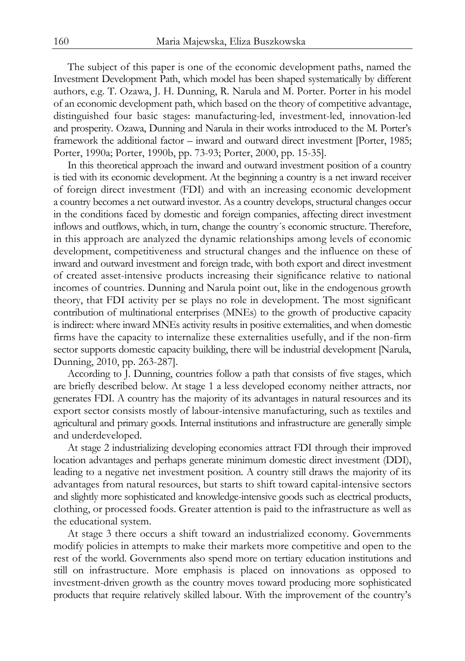The subject of this paper is one of the economic development paths, named the Investment Development Path, which model has been shaped systematically by different authors, e.g. T. Ozawa, J. H. Dunning, R. Narula and M. Porter. Porter in his model of an economic development path, which based on the theory of competitive advantage, distinguished four basic stages: manufacturing-led, investment-led, innovation-led and prosperity. Ozawa, Dunning and Narula in their works introduced to the M. Porter's framework the additional factor – inward and outward direct investment [Porter, 1985; Porter, 1990a; Porter, 1990b, pp. 73-93; Porter, 2000, pp. 15-35].

In this theoretical approach the inward and outward investment position of a country is tied with its economic development. At the beginning a country is a net inward receiver of foreign direct investment (FDI) and with an increasing economic development a country becomes a net outward investor. As a country develops, structural changes occur in the conditions faced by domestic and foreign companies, affecting direct investment inflows and outflows, which, in turn, change the country´s economic structure. Therefore, in this approach are analyzed the dynamic relationships among levels of economic development, competitiveness and structural changes and the influence on these of inward and outward investment and foreign trade, with both export and direct investment of created asset-intensive products increasing their significance relative to national incomes of countries. Dunning and Narula point out, like in the endogenous growth theory, that FDI activity per se plays no role in development. The most significant contribution of multinational enterprises (MNEs) to the growth of productive capacity is indirect: where inward MNEs activity results in positive externalities, and when domestic firms have the capacity to internalize these externalities usefully, and if the non-firm sector supports domestic capacity building, there will be industrial development [Narula, Dunning, 2010, pp. 263-287].

According to J. Dunning, countries follow a path that consists of five stages, which are briefly described below. At stage 1 a less developed economy neither attracts, nor generates FDI. A country has the majority of its advantages in natural resources and its export sector consists mostly of labour-intensive manufacturing, such as textiles and agricultural and primary goods. Internal institutions and infrastructure are generally simple and underdeveloped.

At stage 2 industrializing developing economies attract FDI through their improved location advantages and perhaps generate minimum domestic direct investment (DDI), leading to a negative net investment position. A country still draws the majority of its advantages from natural resources, but starts to shift toward capital-intensive sectors and slightly more sophisticated and knowledge-intensive goods such as electrical products, clothing, or processed foods. Greater attention is paid to the infrastructure as well as the educational system.

At stage 3 there occurs a shift toward an industrialized economy. Governments modify policies in attempts to make their markets more competitive and open to the rest of the world. Governments also spend more on tertiary education institutions and still on infrastructure. More emphasis is placed on innovations as opposed to investment-driven growth as the country moves toward producing more sophisticated products that require relatively skilled labour. With the improvement of the country's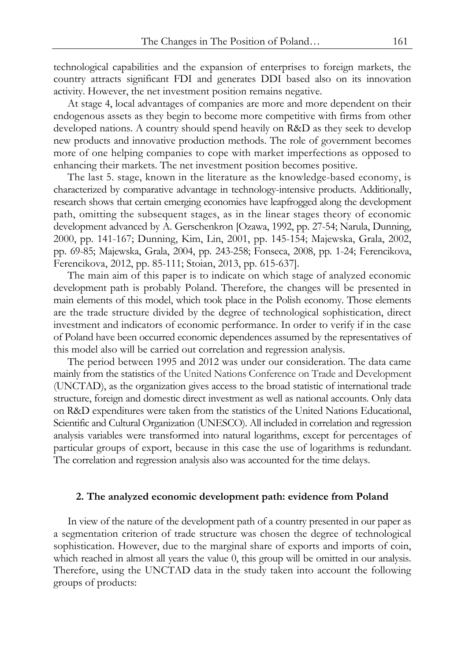technological capabilities and the expansion of enterprises to foreign markets, the country attracts significant FDI and generates DDI based also on its innovation activity. However, the net investment position remains negative.

At stage 4, local advantages of companies are more and more dependent on their endogenous assets as they begin to become more competitive with firms from other developed nations. A country should spend heavily on R&D as they seek to develop new products and innovative production methods. The role of government becomes more of one helping companies to cope with market imperfections as opposed to enhancing their markets. The net investment position becomes positive.

The last 5. stage, known in the literature as the knowledge-based economy, is characterized by comparative advantage in technology-intensive products. Additionally, research shows that certain emerging economies have leapfrogged along the development path, omitting the subsequent stages, as in the linear stages theory of economic development advanced by A. Gerschenkron [Ozawa, 1992, pp. 27-54; Narula, Dunning, 2000, pp. 141-167; Dunning, Kim, Lin, 2001, pp. 145-154; Majewska, Grala, 2002, pp. 69-85; Majewska, Grala, 2004, pp. 243-258; Fonseca, 2008, pp. 1-24; Ferencikova, Ferencikova, 2012, pp. 85-111; Stoian, 2013, pp. 615-637].

The main aim of this paper is to indicate on which stage of analyzed economic development path is probably Poland. Therefore, the changes will be presented in main elements of this model, which took place in the Polish economy. Those elements are the trade structure divided by the degree of technological sophistication, direct investment and indicators of economic performance. In order to verify if in the case of Poland have been occurred economic dependences assumed by the representatives of this model also will be carried out correlation and regression analysis.

The period between 1995 and 2012 was under our consideration. The data came mainly from the statistics of the United Nations Conference on Trade and Development (UNCTAD), as the organization gives access to the broad statistic of international trade structure, foreign and domestic direct investment as well as national accounts. Only data on R&D expenditures were taken from the statistics of the United Nations Educational, Scientific and Cultural Organization (UNESCO). All included in correlation and regression analysis variables were transformed into natural logarithms, except for percentages of particular groups of export, because in this case the use of logarithms is redundant. The correlation and regression analysis also was accounted for the time delays.

#### **2. The analyzed economic development path: evidence from Poland**

In view of the nature of the development path of a country presented in our paper as a segmentation criterion of trade structure was chosen the degree of technological sophistication. However, due to the marginal share of exports and imports of coin, which reached in almost all years the value 0, this group will be omitted in our analysis. Therefore, using the UNCTAD data in the study taken into account the following groups of products: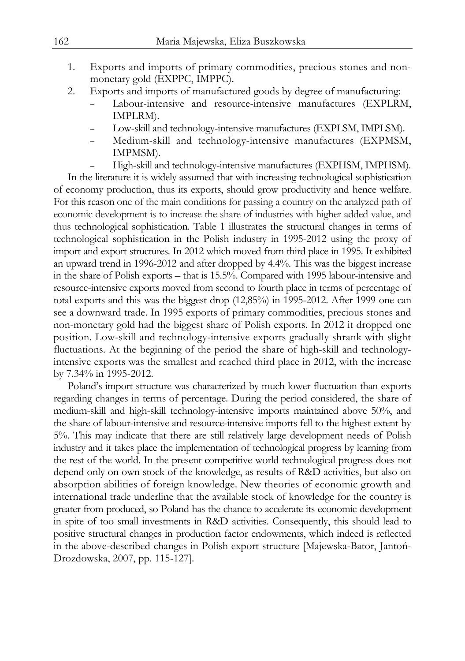- 1. Exports and imports of primary commodities, precious stones and nonmonetary gold (EXPPC, IMPPC).
- 2. Exports and imports of manufactured goods by degree of manufacturing:
	- Labour-intensive and resource-intensive manufactures (EXPLRM, IMPLRM).
	- Low-skill and technology-intensive manufactures (EXPLSM, IMPLSM).
	- Medium-skill and technology-intensive manufactures (EXPMSM, IMPMSM).
	- High-skill and technology-intensive manufactures (EXPHSM, IMPHSM).

In the literature it is widely assumed that with increasing technological sophistication of economy production, thus its exports, should grow productivity and hence welfare. For this reason one of the main conditions for passing a country on the analyzed path of economic development is to increase the share of industries with higher added value, and thus technological sophistication. Table 1 illustrates the structural changes in terms of technological sophistication in the Polish industry in 1995-2012 using the proxy of import and export structures. In 2012 which moved from third place in 1995. It exhibited an upward trend in 1996-2012 and after dropped by 4.4%. This was the biggest increase in the share of Polish exports – that is 15.5%. Compared with 1995 labour-intensive and resource-intensive exports moved from second to fourth place in terms of percentage of total exports and this was the biggest drop (12,85%) in 1995-2012. After 1999 one can see a downward trade. In 1995 exports of primary commodities, precious stones and non-monetary gold had the biggest share of Polish exports. In 2012 it dropped one position. Low-skill and technology-intensive exports gradually shrank with slight fluctuations. At the beginning of the period the share of high-skill and technologyintensive exports was the smallest and reached third place in 2012, with the increase by 7.34% in 1995-2012.

Poland's import structure was characterized by much lower fluctuation than exports regarding changes in terms of percentage. During the period considered, the share of medium-skill and high-skill technology-intensive imports maintained above 50%, and the share of labour-intensive and resource-intensive imports fell to the highest extent by 5%. This may indicate that there are still relatively large development needs of Polish industry and it takes place the implementation of technological progress by learning from the rest of the world. In the present competitive world technological progress does not depend only on own stock of the knowledge, as results of R&D activities, but also on absorption abilities of foreign knowledge. New theories of economic growth and international trade underline that the available stock of knowledge for the country is greater from produced, so Poland has the chance to accelerate its economic development in spite of too small investments in R&D activities. Consequently, this should lead to positive structural changes in production factor endowments, which indeed is reflected in the above-described changes in Polish export structure [Majewska-Bator, Jantoń-Drozdowska, 2007, pp. 115-127].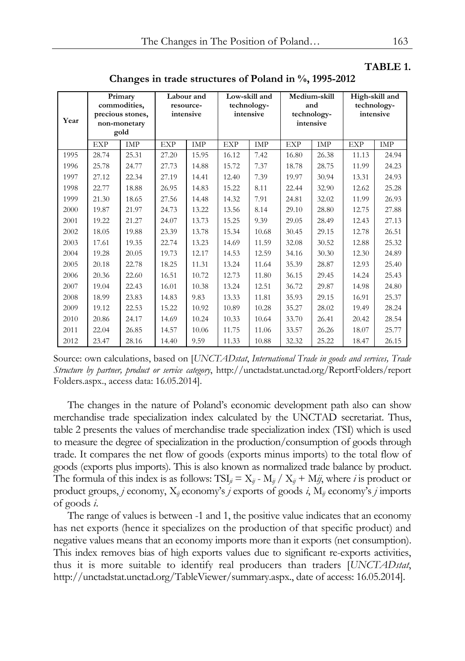#### **TABLE 1.**

**Changes in trade structures of Poland in %, 1995-2012** 

| Year | Primary<br>commodities,<br>precious stones,<br>non-monetary<br>gold |       | Labour and<br>resource-<br>intensive |       | Low-skill and<br>technology-<br>intensive |       | Medium-skill<br>and<br>technology-<br>intensive |       | High-skill and<br>technology-<br>intensive |       |
|------|---------------------------------------------------------------------|-------|--------------------------------------|-------|-------------------------------------------|-------|-------------------------------------------------|-------|--------------------------------------------|-------|
|      | <b>EXP</b>                                                          | IMP   | <b>EXP</b>                           | IMP   | <b>EXP</b>                                | IMP   | <b>EXP</b>                                      | IMP   | <b>EXP</b>                                 | IMP   |
| 1995 | 28.74                                                               | 25.31 | 27.20                                | 15.95 | 16.12                                     | 7.42  | 16.80                                           | 26.38 | 11.13                                      | 24.94 |
| 1996 | 25.78                                                               | 24.77 | 27.73                                | 14.88 | 15.72                                     | 7.37  | 18.78                                           | 28.75 | 11.99                                      | 24.23 |
| 1997 | 27.12                                                               | 22.34 | 27.19                                | 14.41 | 12.40                                     | 7.39  | 19.97                                           | 30.94 | 13.31                                      | 24.93 |
| 1998 | 22.77                                                               | 18.88 | 26.95                                | 14.83 | 15.22                                     | 8.11  | 22.44                                           | 32.90 | 12.62                                      | 25.28 |
| 1999 | 21.30                                                               | 18.65 | 27.56                                | 14.48 | 14.32                                     | 7.91  | 24.81                                           | 32.02 | 11.99                                      | 26.93 |
| 2000 | 19.87                                                               | 21.97 | 24.73                                | 13.22 | 13.56                                     | 8.14  | 29.10                                           | 28.80 | 12.75                                      | 27.88 |
| 2001 | 19.22                                                               | 21.27 | 24.07                                | 13.73 | 15.25                                     | 9.39  | 29.05                                           | 28.49 | 12.43                                      | 27.13 |
| 2002 | 18.05                                                               | 19.88 | 23.39                                | 13.78 | 15.34                                     | 10.68 | 30.45                                           | 29.15 | 12.78                                      | 26.51 |
| 2003 | 17.61                                                               | 19.35 | 22.74                                | 13.23 | 14.69                                     | 11.59 | 32.08                                           | 30.52 | 12.88                                      | 25.32 |
| 2004 | 19.28                                                               | 20.05 | 19.73                                | 12.17 | 14.53                                     | 12.59 | 34.16                                           | 30.30 | 12.30                                      | 24.89 |
| 2005 | 20.18                                                               | 22.78 | 18.25                                | 11.31 | 13.24                                     | 11.64 | 35.39                                           | 28.87 | 12.93                                      | 25.40 |
| 2006 | 20.36                                                               | 22.60 | 16.51                                | 10.72 | 12.73                                     | 11.80 | 36.15                                           | 29.45 | 14.24                                      | 25.43 |
| 2007 | 19.04                                                               | 22.43 | 16.01                                | 10.38 | 13.24                                     | 12.51 | 36.72                                           | 29.87 | 14.98                                      | 24.80 |
| 2008 | 18.99                                                               | 23.83 | 14.83                                | 9.83  | 13.33                                     | 11.81 | 35.93                                           | 29.15 | 16.91                                      | 25.37 |
| 2009 | 19.12                                                               | 22.53 | 15.22                                | 10.92 | 10.89                                     | 10.28 | 35.27                                           | 28.02 | 19.49                                      | 28.24 |
| 2010 | 20.86                                                               | 24.17 | 14.69                                | 10.24 | 10.33                                     | 10.64 | 33.70                                           | 26.41 | 20.42                                      | 28.54 |
| 2011 | 22.04                                                               | 26.85 | 14.57                                | 10.06 | 11.75                                     | 11.06 | 33.57                                           | 26.26 | 18.07                                      | 25.77 |
| 2012 | 23.47                                                               | 28.16 | 14.40                                | 9.59  | 11.33                                     | 10.88 | 32.32                                           | 25.22 | 18.47                                      | 26.15 |

Source: own calculations, based on [*UNCTADstat*, *International Trade in goods and services, Trade Structure by partner, product or service category*, http://unctadstat.unctad.org/ReportFolders/report Folders.aspx., access data: 16.05.2014].

The changes in the nature of Poland's economic development path also can show merchandise trade specialization index calculated by the UNCTAD secretariat. Thus, table 2 presents the values of merchandise trade specialization index (TSI) which is used to measure the degree of specialization in the production/consumption of goods through trade. It compares the net flow of goods (exports minus imports) to the total flow of goods (exports plus imports). This is also known as normalized trade balance by product. The formula of this index is as follows:  $TSI_{ii} = X_{ii} - M_{ii}/X_{ii} + M_{ii}$ , where *i* is product or product groups, *j* economy, X*ij* economy's *j* exports of goods *i*, M*ij* economy's *j* imports of goods *i*.

The range of values is between -1 and 1, the positive value indicates that an economy has net exports (hence it specializes on the production of that specific product) and negative values means that an economy imports more than it exports (net consumption). This index removes bias of high exports values due to significant re-exports activities, thus it is more suitable to identify real producers than traders [*UNCTADstat*, http://unctadstat.unctad.org/TableViewer/summary.aspx., date of access: 16.05.2014].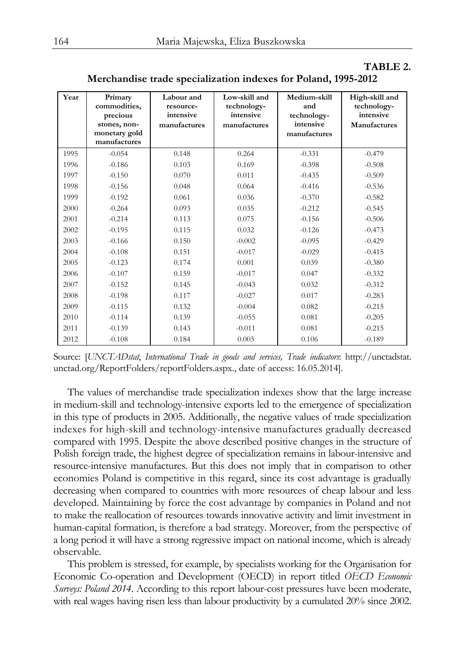| Year | Primary<br>commodities,<br>precious<br>stones, non-<br>monetary gold<br>manufactures | Labour and<br>resource-<br>intensive<br>manufactures | Low-skill and<br>technology-<br>intensive<br>manufactures | Medium-skill<br>and<br>technology-<br>intensive<br>manufactures | High-skill and<br>technology-<br>intensive<br>Manufactures |
|------|--------------------------------------------------------------------------------------|------------------------------------------------------|-----------------------------------------------------------|-----------------------------------------------------------------|------------------------------------------------------------|
| 1995 | $-0.054$                                                                             | 0.148                                                | 0.264                                                     | $-0.331$                                                        | $-0.479$                                                   |
| 1996 | $-0.186$                                                                             | 0.103                                                | 0.169                                                     | $-0.398$                                                        | $-0.508$                                                   |
| 1997 | $-0.150$                                                                             | 0.070                                                | 0.011                                                     | $-0.435$                                                        | $-0.509$                                                   |
| 1998 | $-0.156$                                                                             | 0.048                                                | 0.064                                                     | $-0.416$                                                        | $-0.536$                                                   |
| 1999 | $-0.192$                                                                             | 0.061                                                | 0.036                                                     | $-0.370$                                                        | $-0.582$                                                   |
| 2000 | $-0.264$                                                                             | 0.093                                                | 0.035                                                     | $-0.212$                                                        | $-0.545$                                                   |
| 2001 | $-0.214$                                                                             | 0.113                                                | 0.075                                                     | $-0.156$                                                        | $-0.506$                                                   |
| 2002 | $-0.195$                                                                             | 0.115                                                | 0.032                                                     | $-0.126$                                                        | $-0.473$                                                   |
| 2003 | $-0.166$                                                                             | 0.150                                                | $-0.002$                                                  | $-0.095$                                                        | $-0.429$                                                   |
| 2004 | $-0.108$                                                                             | 0.151                                                | $-0.017$                                                  | $-0.029$                                                        | $-0.415$                                                   |
| 2005 | $-0.123$                                                                             | 0.174                                                | 0.001                                                     | 0.039                                                           | $-0.380$                                                   |
| 2006 | $-0.107$                                                                             | 0.159                                                | $-0.017$                                                  | 0.047                                                           | $-0.332$                                                   |
| 2007 | $-0.152$                                                                             | 0.145                                                | $-0.043$                                                  | 0.032                                                           | $-0.312$                                                   |
| 2008 | $-0.198$                                                                             | 0.117                                                | $-0.027$                                                  | 0.017                                                           | $-0.283$                                                   |
| 2009 | $-0.115$                                                                             | 0.132                                                | $-0.004$                                                  | 0.082                                                           | $-0.215$                                                   |
| 2010 | $-0.114$                                                                             | 0.139                                                | $-0.055$                                                  | 0.081                                                           | $-0.205$                                                   |
| 2011 | $-0.139$                                                                             | 0.143                                                | $-0.011$                                                  | 0.081                                                           | $-0.215$                                                   |
| 2012 | $-0.108$                                                                             | 0.184                                                | 0.003                                                     | 0.106                                                           | $-0.189$                                                   |

| Merchandise trade specialization indexes for Poland, 1995-2012 |  |
|----------------------------------------------------------------|--|
|----------------------------------------------------------------|--|

**TABLE 2.** 

Source: [*UNCTADstat*, *International Trade in goods and services, Trade indicators*: http://unctadstat. unctad.org/ReportFolders/reportFolders.aspx., date of access: 16.05.2014].

The values of merchandise trade specialization indexes show that the large increase in medium-skill and technology-intensive exports led to the emergence of specialization in this type of products in 2005. Additionally, the negative values of trade specialization indexes for high-skill and technology-intensive manufactures gradually decreased compared with 1995. Despite the above described positive changes in the structure of Polish foreign trade, the highest degree of specialization remains in labour-intensive and resource-intensive manufactures. But this does not imply that in comparison to other economies Poland is competitive in this regard, since its cost advantage is gradually decreasing when compared to countries with more resources of cheap labour and less developed. Maintaining by force the cost advantage by companies in Poland and not to make the reallocation of resources towards innovative activity and limit investment in human-capital formation, is therefore a bad strategy. Moreover, from the perspective of a long period it will have a strong regressive impact on national income, which is already observable.

This problem is stressed, for example, by specialists working for the Organisation for Economic Co-operation and Development (OECD) in report titled *OECD Economic Surveys: Poland 2014*. According to this report labour-cost pressures have been moderate, with real wages having risen less than labour productivity by a cumulated 20% since 2002.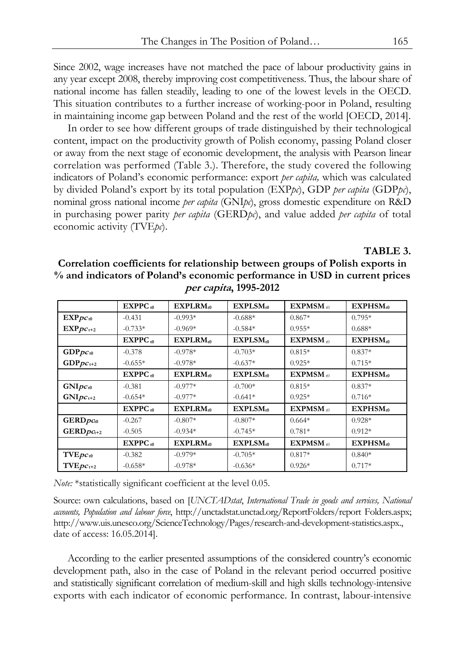Since 2002, wage increases have not matched the pace of labour productivity gains in any year except 2008, thereby improving cost competitiveness. Thus, the labour share of national income has fallen steadily, leading to one of the lowest levels in the OECD. This situation contributes to a further increase of working-poor in Poland, resulting in maintaining income gap between Poland and the rest of the world [OECD, 2014].

In order to see how different groups of trade distinguished by their technological content, impact on the productivity growth of Polish economy, passing Poland closer or away from the next stage of economic development, the analysis with Pearson linear correlation was performed (Table 3.). Therefore, the study covered the following indicators of Poland's economic performance: export *per capita,* which was calculated by divided Poland's export by its total population (EXP*pc*), GDP *per capita* (GDP*pc*), nominal gross national income *per capita* (GNI*pc*), gross domestic expenditure on R&D in purchasing power parity *per capita* (GERD*pc*), and value added *per capita* of total economic activity (TVE*pc*).

#### **TABLE 3.**

**Correlation coefficients for relationship between groups of Polish exports in % and indicators of Poland's economic performance in USD in current prices per capita, 1995-2012** 

|                                 | $EXPPC_{10}$ | $EXPLAN_{10}$ | EXPLSM <sub>10</sub> | $EXPMSM_{10}$                   | EXPHSM <sub>10</sub> |
|---------------------------------|--------------|---------------|----------------------|---------------------------------|----------------------|
| $EXP_{DC_{10}}$                 | $-0.431$     | $-0.993*$     | $-0.688*$            | $0.867*$                        | $0.795*$             |
| $EXP_{DC_{t+2}}$                | $-0.733*$    | $-0.969*$     | $-0.584*$            | $0.955*$                        | $0.688*$             |
|                                 | $EXPPC_{10}$ | $EXPLAN_{10}$ | $EXPLSM_{10}$        | $EXPMSM_{10}$                   | $EXPHSM_{10}$        |
| $\mathrm{GDP}pc_{\mathrm{t0}}$  | $-0.378$     | $-0.978*$     | $-0.703*$            | $0.815*$                        | $0.837*$             |
| $GDPpc_{t+2}$                   | $-0.655*$    | $-0.978*$     | $-0.637*$            | $0.925*$                        | $0.715*$             |
|                                 | $EXPPC_{10}$ | $EXPLAN_{10}$ | $EXPLSM_{10}$        | $EXPMSM_{10}$                   | EXPHSM <sub>10</sub> |
| $GNIpc_{t0}$                    | $-0.381$     | $-0.977*$     | $-0.700*$            | $0.815*$                        | $0.837*$             |
| $GNIpc_{t+2}$                   | $-0.654*$    | $-0.977*$     | $-0.641*$            | $0.925*$                        | $0.716*$             |
|                                 | $EXPPC_{10}$ | $EXPLAN_{10}$ | $EXPLSM_{10}$        | $EXPMSM_{10}$                   | $EXPHSM_{10}$        |
| $GERDpc_{t0}$                   | $-0.267$     | $-0.807*$     | $-0.807*$            | $0.664*$                        | $0.928*$             |
| $GERDpct+2$                     | $-0.505$     | $-0.934*$     | $-0.745*$            | $0.781*$                        | $0.912*$             |
|                                 | $EXPPC_0$    | $EXPLAN_{10}$ | $EXPLSM_{10}$        | $\mathbf{EXPMSM}_{\mathsf{t0}}$ | $EXPHSM_{10}$        |
| $\text{TVE}_{pc}$ <sub>t0</sub> | $-0.382$     | $-0.979*$     | $-0.705*$            | $0.817*$                        | $0.840*$             |
| $TVEpc_{t+2}$                   | $-0.658*$    | $-0.978*$     | $-0.636*$            | $0.926*$                        | $0.717*$             |

*Note:* \*statistically significant coefficient at the level 0.05.

Source: own calculations, based on [*UNCTADstat*, *International Trade in goods and services, National accounts, Population and labour force*, http://unctadstat.unctad.org/ReportFolders/report Folders.aspx; http://www.uis.unesco.org/ScienceTechnology/Pages/research-and-development-statistics.aspx., date of access: 16.05.2014].

According to the earlier presented assumptions of the considered country's economic development path, also in the case of Poland in the relevant period occurred positive and statistically significant correlation of medium-skill and high skills technology-intensive exports with each indicator of economic performance. In contrast, labour-intensive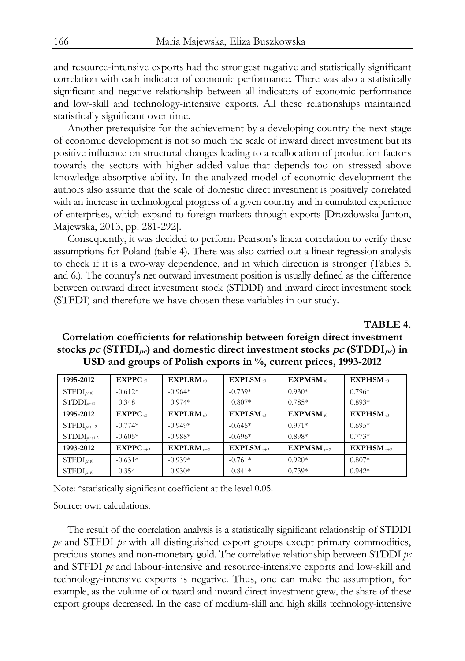and resource-intensive exports had the strongest negative and statistically significant correlation with each indicator of economic performance. There was also a statistically significant and negative relationship between all indicators of economic performance and low-skill and technology-intensive exports. All these relationships maintained statistically significant over time.

Another prerequisite for the achievement by a developing country the next stage of economic development is not so much the scale of inward direct investment but its positive influence on structural changes leading to a reallocation of production factors towards the sectors with higher added value that depends too on stressed above knowledge absorptive ability. In the analyzed model of economic development the authors also assume that the scale of domestic direct investment is positively correlated with an increase in technological progress of a given country and in cumulated experience of enterprises, which expand to foreign markets through exports [Drozdowska-Janton, Majewska, 2013, pp. 281-292].

Consequently, it was decided to perform Pearson's linear correlation to verify these assumptions for Poland (table 4). There was also carried out a linear regression analysis to check if it is a two-way dependence, and in which direction is stronger (Tables 5. and 6.). The country's net outward investment position is usually defined as the difference between outward direct investment stock (STDDI) and inward direct investment stock (STFDI) and therefore we have chosen these variables in our study.

**TABLE 4.** 

| 1995-2012               | $EXPPC_{10}$  | $EXPLAN_{10}$  | $EXPLSM_{10}$           | $\mathbf{EXPMSM}_{10}$ | $EXPHSM_{10}$  |
|-------------------------|---------------|----------------|-------------------------|------------------------|----------------|
| $STFDI_{pc\,t0}$        | $-0.612*$     | $-0.964*$      | $-0.739*$               | $0.930*$               | $0.796*$       |
| $\text{STDDI}_{bc\,t0}$ | $-0.348$      | $-0.974*$      | $-0.807*$               | $0.785*$               | $0.893*$       |
| 1995-2012               | $EXPPC_{10}$  | $EXPLAN_{10}$  | $EXPLSM_{10}$           | $EXPMSM_{10}$          | $EXPHSM_{10}$  |
| $STFDI_{pct+2}$         | $-0.774*$     | $-0.949*$      | $-0.645*$               | $0.971*$               | $0.695*$       |
| $STDDI_{bct+2}$         | $-0.605*$     | $-0.988*$      | $-0.696*$               | $0.898*$               | $0.773*$       |
| 1993-2012               | $EXPPC_{t+2}$ | $EXPLAN_{t+2}$ | $EXPLSM$ <sub>t+2</sub> | $EXPMSM_{++2}$         | $EXPHSM_{++2}$ |
| $STFDI_{pc\,t0}$        | $-0.631*$     | $-0.939*$      | $-0.761*$               | $0.920*$               | $0.807*$       |
| $STFDI_{bc0}$           | $-0.354$      | $-0.930*$      | $-0.841*$               | $0.739*$               | $0.942*$       |

## **Correlation coefficients for relationship between foreign direct investment**  stocks  $pc$  (STFDI<sub>pc</sub>) and domestic direct investment stocks  $pc$  (STDDI<sub>pc</sub>) in **USD and groups of Polish exports in %, current prices, 1993-2012**

Note: \*statistically significant coefficient at the level 0.05.

Source: own calculations.

The result of the correlation analysis is a statistically significant relationship of STDDI *pc* and STFDI *pc* with all distinguished export groups except primary commodities, precious stones and non-monetary gold. The correlative relationship between STDDI *pc* and STFDI *pc* and labour-intensive and resource-intensive exports and low-skill and technology-intensive exports is negative. Thus, one can make the assumption, for example, as the volume of outward and inward direct investment grew, the share of these export groups decreased. In the case of medium-skill and high skills technology-intensive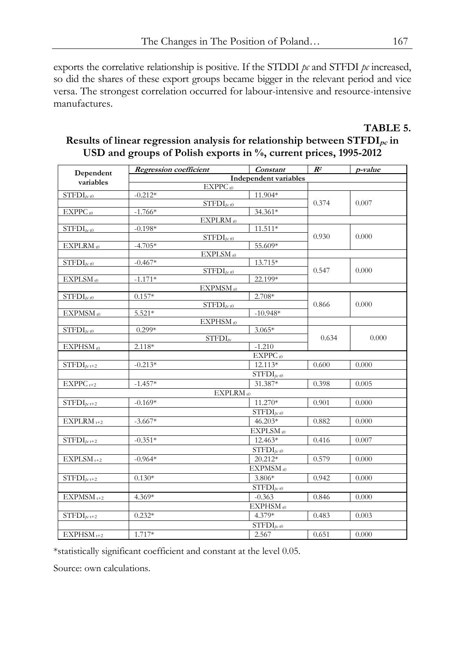exports the correlative relationship is positive. If the STDDI *pc* and STFDI *pc* increased, so did the shares of these export groups became bigger in the relevant period and vice versa. The strongest correlation occurred for labour-intensive and resource-intensive manufactures.

## **TABLE 5.**  Results of linear regression analysis for relationship between STFDI<sub>pc</sub> in **USD and groups of Polish exports in %, current prices, 1995-2012**

| Dependent                                               | <b>Regression</b> coefficient    | Constant                                        | $\mathbb{R}^2$ | p-value |
|---------------------------------------------------------|----------------------------------|-------------------------------------------------|----------------|---------|
| variables                                               |                                  | <b>Independent variables</b>                    |                |         |
|                                                         | $EXPPC_{t0}$                     |                                                 |                |         |
| $STFDI_{pc\,t0}$                                        | $-0.212*$                        | 11.904*                                         |                |         |
|                                                         | $STFDI_{pc}$ t0                  |                                                 | 0.374          | 0.007   |
| $EXPPC_{t0}$                                            | $-1.766*$                        | 34.361*                                         |                |         |
|                                                         | EXPLRM <sub>t0</sub>             |                                                 |                |         |
| $STFDI_{pc\,t0}$                                        | $-0.198*$                        | 11.511*                                         |                |         |
|                                                         | $STFDI_{pc}$ t0                  |                                                 | 0.930          | 0.000   |
| EXPLRM <sub>t0</sub>                                    | $-4.705*$                        | 55.609*                                         |                |         |
|                                                         | EXPLSM <sub>t0</sub>             |                                                 |                |         |
| $STFDI_{pc\,t0}$                                        | $-0.467*$                        | 13.715*                                         |                |         |
|                                                         | $STFDI_{ptt0}$                   |                                                 | 0.547          | 0.000   |
| EXPLSM <sub>t0</sub>                                    | $-1.171*$                        | 22.199*                                         |                |         |
|                                                         | $EXPMSM_{t0}$                    |                                                 |                |         |
| $STFDI_{pc\,t0}$                                        | $0.157*$                         | 2.708*                                          | 0.866          |         |
|                                                         | $STFDI_{pc}$ t0                  |                                                 |                | 0.000   |
| $EXPMSM_{t0}$                                           | $5.521*$                         | $-10.948*$                                      |                |         |
|                                                         | EXPHSM <sub>t0</sub><br>$0.299*$ |                                                 |                |         |
| $STFDI_{pc}$ t0                                         | $STFDI_{bc}$                     | $3.065*$                                        | 0.634          | 0.000   |
| EXPHSM <sub>t0</sub>                                    | 2.118*                           | $-1.210$                                        |                |         |
|                                                         |                                  | $EXPPC_{t0}$                                    |                |         |
|                                                         |                                  | 12.113*                                         | 0.600          |         |
| $STFDI_{pc t+2}$                                        | $-0.213*$                        |                                                 |                | 0.000   |
|                                                         |                                  | $\overline{\mathrm{STFDI}}_{p_{\mathrm{f}} t0}$ |                |         |
| $EXPPC_{t+2}$                                           | $-1.457*$                        | 31.387*                                         | 0.398          | 0.005   |
|                                                         | EXPLRM <sub>t0</sub>             |                                                 |                |         |
| $STFDI_{pc t+2}$                                        | $-0.169*$                        | $11.270*$                                       | 0.901          | 0.000   |
|                                                         |                                  | $STFDI_{bc\,t0}$                                |                |         |
| $EXPLAN_{t+2}$                                          | $-3.667*$                        | 46.203*                                         | 0.882          | 0.000   |
|                                                         |                                  | $EXPLSM_{t0}$                                   |                |         |
| $STFDI_{pc t+2}$                                        | $-0.351*$                        | 12.463*                                         | 0.416          | 0.007   |
|                                                         |                                  | $STFDI_{pc\,t0}$                                |                |         |
| $EXPLSM$ <sub>t+2</sub>                                 | $-0.964*$                        | 20.212*                                         | 0.579          | 0.000   |
|                                                         |                                  | EXPMSM <sub>t0</sub>                            |                |         |
|                                                         |                                  |                                                 |                |         |
| $STFDI_{pct+2}$                                         | $0.130*$                         | 3.806*                                          | 0.942          | 0.000   |
|                                                         |                                  | $STFDI_{bc}$ <sub>t0</sub>                      |                |         |
| $EXPMSM_{t+2}$                                          | 4.369*                           | $-0.363$                                        | 0.846          | 0.000   |
|                                                         |                                  | EXPHSM <sub>t0</sub>                            |                |         |
| $\widehat{\mathrm{STFDI}_{\text{pc}\, \mathfrak{t}+2}}$ | $0.232*$                         | 4.379*                                          | 0.483          | 0.003   |
|                                                         |                                  | $STFDI_{pc}$ t0                                 |                |         |
| $EXPHSM$ <sub>t+2</sub>                                 | 1.717*                           | 2.567                                           | 0.651          | 0.000   |
|                                                         |                                  |                                                 |                |         |

\*statistically significant coefficient and constant at the level 0.05.

Source: own calculations.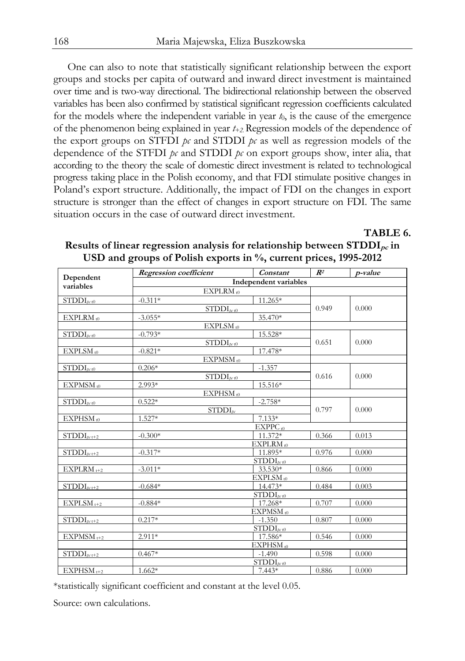One can also to note that statistically significant relationship between the export groups and stocks per capita of outward and inward direct investment is maintained over time and is two-way directional. The bidirectional relationship between the observed variables has been also confirmed by statistical significant regression coefficients calculated for the models where the independent variable in year  $t_0$ , is the cause of the emergence of the phenomenon being explained in year *t+2*. Regression models of the dependence of the export groups on STFDI  $p_c$  and STDDI  $p_c$  as well as regression models of the dependence of the STFDI *pc* and STDDI *pc* on export groups show, inter alia, that according to the theory the scale of domestic direct investment is related to technological progress taking place in the Polish economy, and that FDI stimulate positive changes in Poland's export structure. Additionally, the impact of FDI on the changes in export structure is stronger than the effect of changes in export structure on FDI. The same situation occurs in the case of outward direct investment.

### **TABLE 6.**

|                                    | <b>Regression</b> coefficient | Constant             | $R^2$ | p-value |  |  |
|------------------------------------|-------------------------------|----------------------|-------|---------|--|--|
| Dependent<br>variables             | Independent variables         |                      |       |         |  |  |
|                                    | $EXPLAN_{t0}$                 |                      |       |         |  |  |
| $STDDI_{bc10}$                     | $-0.311*$                     | 11.265*              |       |         |  |  |
|                                    | $STDDI_{pt0}$                 | 0.949                | 0.000 |         |  |  |
| EXPLRM <sub>t0</sub>               | $-3.055*$                     | 35.470*              |       |         |  |  |
|                                    | $EXPLSM_{t0}$                 |                      |       |         |  |  |
| $\mathrm{STDDI}_{\mu\text{r}\,t0}$ | $-0.793*$                     | 15.528*              |       |         |  |  |
|                                    | $STDDI_{bc}$ <sub>t0</sub>    | 0.651                | 0.000 |         |  |  |
| $EXPLSM_{t0}$                      | $-0.821*$                     | 17.478*              |       |         |  |  |
|                                    | EXPMSM <sub>t0</sub>          |                      |       |         |  |  |
| $STDDI_{bc\,t0}$                   | $0.206*$                      | $-1.357$             |       |         |  |  |
|                                    | $STDDI_{bc0}$                 |                      | 0.616 | 0.000   |  |  |
| EXPMSM <sub>t0</sub>               | 2.993*                        | 15.516*              |       |         |  |  |
|                                    | $EXPHSM_{t0}$                 |                      |       |         |  |  |
| $STDDI_{bc10}$                     | $0.522*$                      | $-2.758*$            |       |         |  |  |
|                                    | $STDDI_{pc}$                  |                      | 0.797 | 0.000   |  |  |
| EXPHSM <sub>t0</sub>               | 1.527*                        | $7.133*$             |       |         |  |  |
|                                    |                               | $EXPPC_{t0}$         |       |         |  |  |
| $STDDI_{pr+2}$                     | $-0.300*$                     | 11.372*              | 0.366 | 0.013   |  |  |
|                                    |                               | EXPLRM <sub>t0</sub> |       |         |  |  |
| $STDDI_{tr+2}$                     | $-0.317*$                     | 11.895*              | 0.976 | 0.000   |  |  |
|                                    |                               | $STDDI_{pt0}$        |       |         |  |  |
| $EXPLAN_{t+2}$                     | $-3.011*$                     | 33.530*              | 0.866 | 0.000   |  |  |
|                                    |                               | $EXPLSM_{t0}$        |       |         |  |  |
| $STDDI_{pt+2}$                     | $-0.684*$                     | 14.473*              | 0.484 | 0.003   |  |  |
|                                    |                               | $STDDI_{bc10}$       |       |         |  |  |
| $EXPLSM_{t+2}$                     | $-0.884*$                     | 17.268*              | 0.707 | 0.000   |  |  |
|                                    |                               | EXPMSM <sub>t0</sub> |       |         |  |  |
| $STDDI_{pt+2}$                     | $0.217*$                      | $-1.350$             | 0.807 | 0.000   |  |  |
|                                    |                               | $STDDI_{pt0}$        |       |         |  |  |
| EXPMSM <sub>t+2</sub>              | $2.911*$                      | 17.586*              | 0.546 | 0.000   |  |  |
|                                    |                               | EXPHSM <sub>t0</sub> |       |         |  |  |
| $STDDI_{pt+2}$                     | $0.467*$                      | $-1.490$             | 0.598 | 0.000   |  |  |
|                                    |                               | $STDDI_{pt0}$        |       |         |  |  |
| $EXPHSM$ <sub>t+2</sub>            | $1.662*$                      | $7.443*$             | 0.886 | 0.000   |  |  |

**Results of linear regression analysis for relationship between STDDI<sub>pc</sub> in USD and groups of Polish exports in %, current prices, 1995-2012** 

\*statistically significant coefficient and constant at the level 0.05.

Source: own calculations.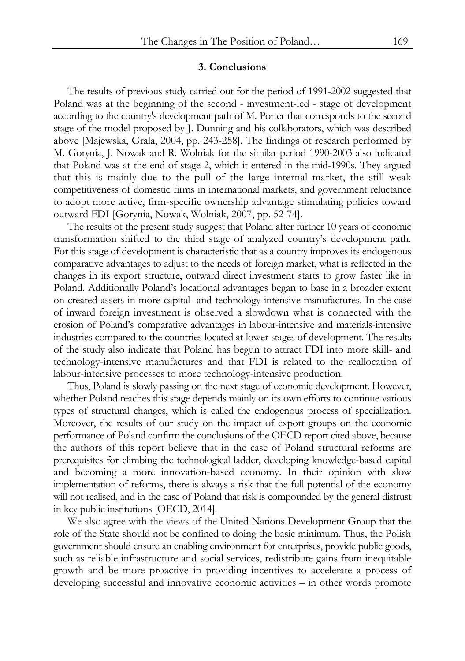#### **3. Conclusions**

The results of previous study carried out for the period of 1991-2002 suggested that Poland was at the beginning of the second - investment-led - stage of development according to the country's development path of M. Porter that corresponds to the second stage of the model proposed by J. Dunning and his collaborators, which was described above [Majewska, Grala, 2004, pp. 243-258]. The findings of research performed by M. Gorynia, J. Nowak and R. Wolniak for the similar period 1990-2003 also indicated that Poland was at the end of stage 2, which it entered in the mid-1990s. They argued that this is mainly due to the pull of the large internal market, the still weak competitiveness of domestic firms in international markets, and government reluctance to adopt more active, firm-specific ownership advantage stimulating policies toward outward FDI [Gorynia, Nowak, Wolniak, 2007, pp. 52-74].

The results of the present study suggest that Poland after further 10 years of economic transformation shifted to the third stage of analyzed country's development path. For this stage of development is characteristic that as a country improves its endogenous comparative advantages to adjust to the needs of foreign market, what is reflected in the changes in its export structure, outward direct investment starts to grow faster like in Poland. Additionally Poland's locational advantages began to base in a broader extent on created assets in more capital- and technology-intensive manufactures. In the case of inward foreign investment is observed a slowdown what is connected with the erosion of Poland's comparative advantages in labour-intensive and materials-intensive industries compared to the countries located at lower stages of development. The results of the study also indicate that Poland has begun to attract FDI into more skill- and technology-intensive manufactures and that FDI is related to the reallocation of labour-intensive processes to more technology-intensive production.

Thus, Poland is slowly passing on the next stage of economic development. However, whether Poland reaches this stage depends mainly on its own efforts to continue various types of structural changes, which is called the endogenous process of specialization. Moreover, the results of our study on the impact of export groups on the economic performance of Poland confirm the conclusions of the OECD report cited above, because the authors of this report believe that in the case of Poland structural reforms are prerequisites for climbing the technological ladder, developing knowledge-based capital and becoming a more innovation-based economy. In their opinion with slow implementation of reforms, there is always a risk that the full potential of the economy will not realised, and in the case of Poland that risk is compounded by the general distrust in key public institutions [OECD, 2014].

We also agree with the views of the United Nations Development Group that the role of the State should not be confined to doing the basic minimum. Thus, the Polish government should ensure an enabling environment for enterprises, provide public goods, such as reliable infrastructure and social services, redistribute gains from inequitable growth and be more proactive in providing incentives to accelerate a process of developing successful and innovative economic activities – in other words promote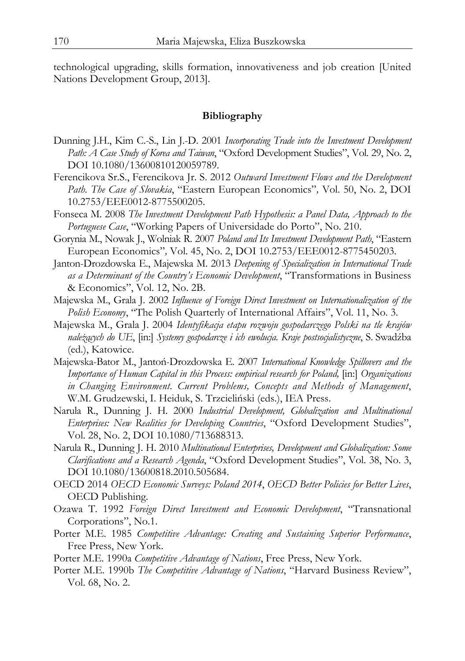technological upgrading, skills formation, innovativeness and job creation [United Nations Development Group, 2013].

#### **Bibliography**

- Dunning J.H., Kim C.-S., Lin J.-D. 2001 *Incorporating Trade into the Investment Development Path: A Case Study of Korea and Taiwan*, "Oxford Development Studies", Vol. 29, No. 2, DOI 10.1080/13600810120059789.
- Ferencikova Sr.S., Ferencikova Jr. S. 2012 *Outward Investment Flows and the Development Path. The Case of Slovakia*, "Eastern European Economics"*,* Vol. 50, No. 2, DOI 10.2753/EEE0012-8775500205.
- Fonseca M. 2008 *The Investment Development Path Hypothesis: a Panel Data, Approach to the Portuguese Case*, "Working Papers of Universidade do Porto", No. 210.
- Gorynia M., Nowak J., Wolniak R. 2007 *Poland and Its Investment Development Path*, "Eastern European Economics"*,* Vol. 45, No. 2, DOI 10.2753/EEE0012-8775450203.
- Janton-Drozdowska E., Majewska M. 2013 *Deepening of Specialization in International Trade as a Determinant of the Country's Economic Development*, "Transformations in Business & Economics", Vol. 12, No. 2B.
- Majewska M., Grala J. 2002 *Influence of Foreign Direct Investment on Internationalization of the Polish Economy*, "The Polish Quarterly of International Affairs", Vol. 11, No. 3.
- Majewska M., Grala J. 2004 *Identyfikacja etapu rozwoju gospodarczego Polski na tle krajów należących do UE*, [in:] *Systemy gospodarcze i ich ewolucja. Kraje postsocjalistyczne*, S. Swadźba (ed.), Katowice.
- Majewska-Bator M., Jantoń-Drozdowska E. 2007 *International Knowledge Spillovers and the Importance of Human Capital in this Process: empirical research for Poland,* [in:] *Organizations in Changing Environment. Current Problems, Concepts and Methods of Management*, W.M. Grudzewski, I. Heiduk, S. Trzcieliński (eds.), IEA Press.
- Narula R., Dunning J. H. 2000 *Industrial Development, Globalization and Multinational Enterprises: New Realities for Developing Countries*, "Oxford Development Studies", Vol. 28, No. 2, DOI 10.1080/713688313.
- Narula R., Dunning J. H. 2010 *Multinational Enterprises, Development and Globalization: Some Clarifications and a Research Agenda*, "Oxford Development Studies", Vol. 38, No. 3, DOI 10.1080/13600818.2010.505684.
- OECD 2014 *OECD Economic Surveys: Poland 2014*, *OECD Better Policies for Better Lives*, OECD Publishing.
- Ozawa T. 1992 *Foreign Direct Investment and Economic Development*, "Transnational Corporations", No.1.
- Porter M.E. 1985 *Competitive Advantage: Creating and Sustaining Superior Performance*, Free Press, New York.
- Porter M.E. 1990a *Competitive Advantage of Nations*, Free Press, New York.
- Porter M.E. 1990b *The Competitive Advantage of Nations*, "Harvard Business Review", Vol. 68, No. 2.